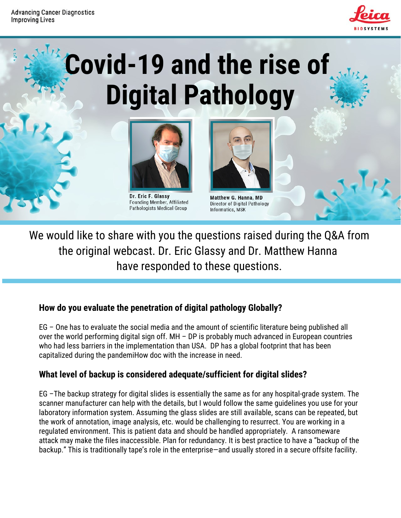

# **Covid-19 and the rise of Digital Pathology**



Dr. Eric F. Glassy Founding Member, Affiliated Pathologists Medical Group



**Matthew G. Hanna, MD** Director of Digital Pathology Informatics, MSK

We would like to share with you the questions raised during the Q&A from the original webcast. Dr. Eric Glassy and Dr. Matthew Hanna have responded to these questions.

# **How do you evaluate the penetration of digital pathology Globally?**

EG – One has to evaluate the social media and the amount of scientific literature being published all over the world performing digital sign off. MH – DP is probably much advanced in European countries who had less barriers in the implementation than USA. DP has a global footprint that has been capitalized during the pandemiHow doc with the increase in need.

# **What level of backup is considered adequate/sufficient for digital slides?**

EG –The backup strategy for digital slides is essentially the same as for any hospital-grade system. The scanner manufacturer can help with the details, but I would follow the same guidelines you use for your laboratory information system. Assuming the glass slides are still available, scans can be repeated, but the work of annotation, image analysis, etc. would be challenging to resurrect. You are working in a regulated environment. This is patient data and should be handled appropriately. A ransomeware attack may make the files inaccessible. Plan for redundancy. It is best practice to have a "backup of the backup." This is traditionally tape's role in the enterprise—and usually stored in a secure offsite facility.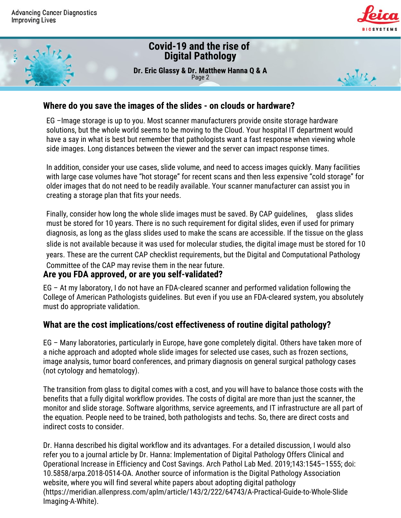



#### **Where do you save the images of the slides - on clouds or hardware?**

EG –Image storage is up to you. Most scanner manufacturers provide onsite storage hardware solutions, but the whole world seems to be moving to the Cloud. Your hospital IT department would have a say in what is best but remember that pathologists want a fast response when viewing whole side images. Long distances between the viewer and the server can impact response times.

In addition, consider your use cases, slide volume, and need to access images quickly. Many facilities with large case volumes have "hot storage" for recent scans and then less expensive "cold storage" for older images that do not need to be readily available. Your scanner manufacturer can assist you in creating a storage plan that fits your needs.

Finally, consider how long the whole slide images must be saved. By CAP guidelines, glass slides must be stored for 10 years. There is no such requirement for digital slides, even if used for primary diagnosis, as long as the glass slides used to make the scans are accessible. If the tissue on the glass slide is not available because it was used for molecular studies, the digital image must be stored for 10 years. These are the current CAP checklist requirements, but the Digital and Computational Pathology Committee of the CAP may revise them in the near future.

# **Are you FDA approved, or are you self-validated?**

EG – At my laboratory, I do not have an FDA-cleared scanner and performed validation following the College of American Pathologists guidelines. But even if you use an FDA-cleared system, you absolutely must do appropriate validation.

#### **What are the cost implications/cost effectiveness of routine digital pathology?**

EG – Many laboratories, particularly in Europe, have gone completely digital. Others have taken more of a niche approach and adopted whole slide images for selected use cases, such as frozen sections, image analysis, tumor board conferences, and primary diagnosis on general surgical pathology cases (not cytology and hematology).

The transition from glass to digital comes with a cost, and you will have to balance those costs with the benefits that a fully digital workflow provides. The costs of digital are more than just the scanner, the monitor and slide storage. Software algorithms, service agreements, and IT infrastructure are all part of the equation. People need to be trained, both pathologists and techs. So, there are direct costs and indirect costs to consider.

Dr. Hanna described his digital workflow and its advantages. For a detailed discussion, I would also refer you to a journal article by Dr. Hanna: Implementation of Digital Pathology Offers Clinical and Operational Increase in Efficiency and Cost Savings. Arch Pathol Lab Med. 2019;143:1545–1555; doi: 10.5858/arpa.2018-0514-OA. Another source of information is the Digital Pathology Association website, where you will find several white papers about adopting digital pathology (https://meridian.allenpress.com/aplm/article/143/2/222/64743/A-Practical-Guide-to-Whole-Slide Imaging-A-White).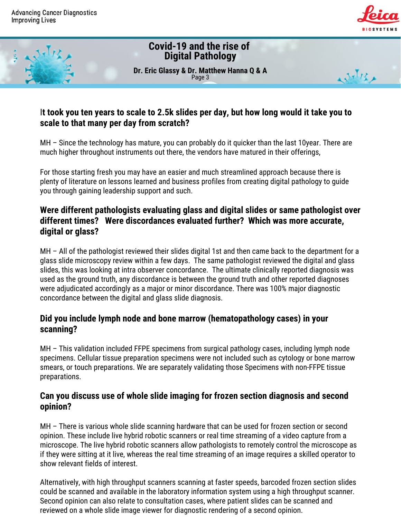

عريم آبوي

# **Covid-19 and the rise of Digital Pathology**

**Dr. Eric Glassy & Dr. Matthew Hanna Q & A** Page 3

# It took you ten years to scale to 2.5k slides per day, but how long would it take you to **scale to that many per day from scratch?**

MH – Since the technology has mature, you can probably do it quicker than the last 10year. There are much higher throughout instruments out there, the vendors have matured in their offerings,

For those starting fresh you may have an easier and much streamlined approach because there is plenty of literature on lessons learned and business profiles from creating digital pathology to guide you through gaining leadership support and such.

# **Were different pathologists evaluating glass and digital slides or same pathologist over different times? Were discordances evaluated further? Which was more accurate, digital or glass?**

MH – All of the pathologist reviewed their slides digital 1st and then came back to the department for a glass slide microscopy review within a few days. The same pathologist reviewed the digital and glass slides, this was looking at intra observer concordance. The ultimate clinically reported diagnosis was used as the ground truth, any discordance is between the ground truth and other reported diagnoses were adjudicated accordingly as a major or minor discordance. There was 100% major diagnostic concordance between the digital and glass slide diagnosis.

# **Did you include lymph node and bone marrow (hematopathology cases) in your scanning?**

MH – This validation included FFPE specimens from surgical pathology cases, including lymph node specimens. Cellular tissue preparation specimens were not included such as cytology or bone marrow smears, or touch preparations. We are separately validating those Specimens with non-FFPE tissue preparations.

#### **Can you discuss use of whole slide imaging for frozen section diagnosis and second opinion?**

MH – There is various whole slide scanning hardware that can be used for frozen section or second opinion. These include live hybrid robotic scanners or real time streaming of a video capture from a microscope. The live hybrid robotic scanners allow pathologists to remotely control the microscope as if they were sitting at it live, whereas the real time streaming of an image requires a skilled operator to show relevant fields of interest.

Alternatively, with high throughput scanners scanning at faster speeds, barcoded frozen section slides could be scanned and available in the laboratory information system using a high throughput scanner. Second opinion can also relate to consultation cases, where patient slides can be scanned and reviewed on a whole slide image viewer for diagnostic rendering of a second opinion.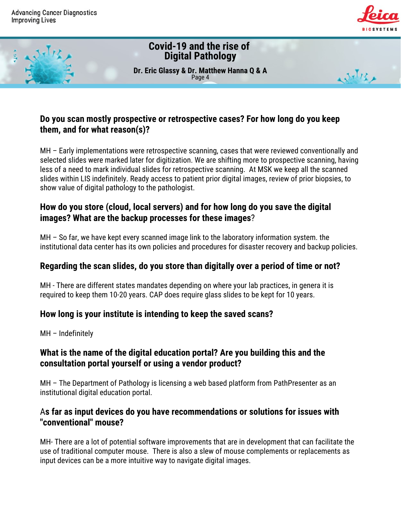



# **Do you scan mostly prospective or retrospective cases? For how long do you keep them, and for what reason(s)?**

MH – Early implementations were retrospective scanning, cases that were reviewed conventionally and selected slides were marked later for digitization. We are shifting more to prospective scanning, having less of a need to mark individual slides for retrospective scanning. At MSK we keep all the scanned slides within LIS indefinitely. Ready access to patient prior digital images, review of prior biopsies, to show value of digital pathology to the pathologist.

# **How do you store (cloud, local servers) and for how long do you save the digital images? What are the backup processes for these images**?

MH – So far, we have kept every scanned image link to the laboratory information system. the institutional data center has its own policies and procedures for disaster recovery and backup policies.

# **Regarding the scan slides, do you store than digitally over a period of time or not?**

MH - There are different states mandates depending on where your lab practices, in genera it is required to keep them 10-20 years. CAP does require glass slides to be kept for 10 years.

# **How long is your institute is intending to keep the saved scans?**

MH – Indefinitely

# **What is the name of the digital education portal? Are you building this and the consultation portal yourself or using a vendor product?**

MH – The Department of Pathology is licensing a web based platform from PathPresenter as an institutional digital education portal.

#### A**s far as input devices do you have recommendations or solutions for issues with "conventional" mouse?**

MH- There are a lot of potential software improvements that are in development that can facilitate the use of traditional computer mouse. There is also a slew of mouse complements or replacements as input devices can be a more intuitive way to navigate digital images.